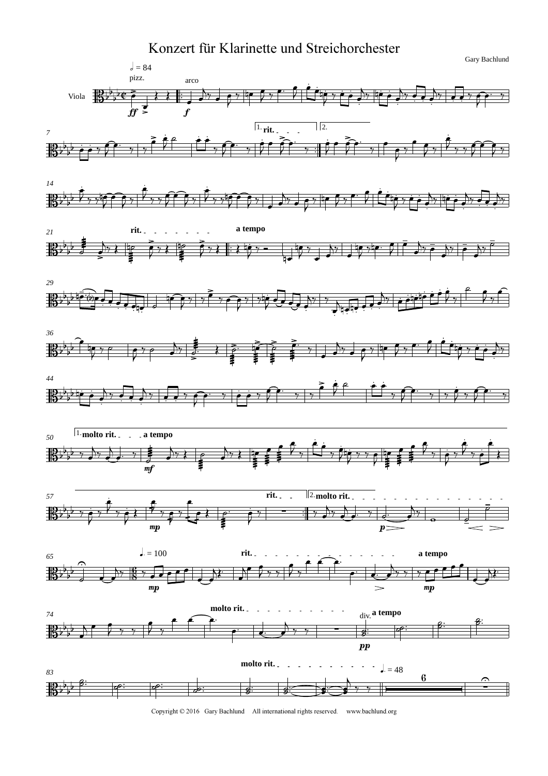



Copyright © 2016 Gary Bachlund All international rights reserved. www.bachlund.org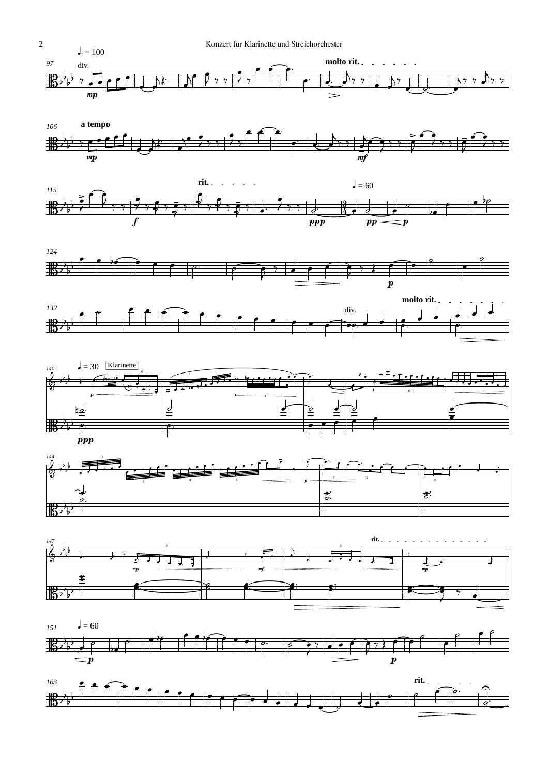

















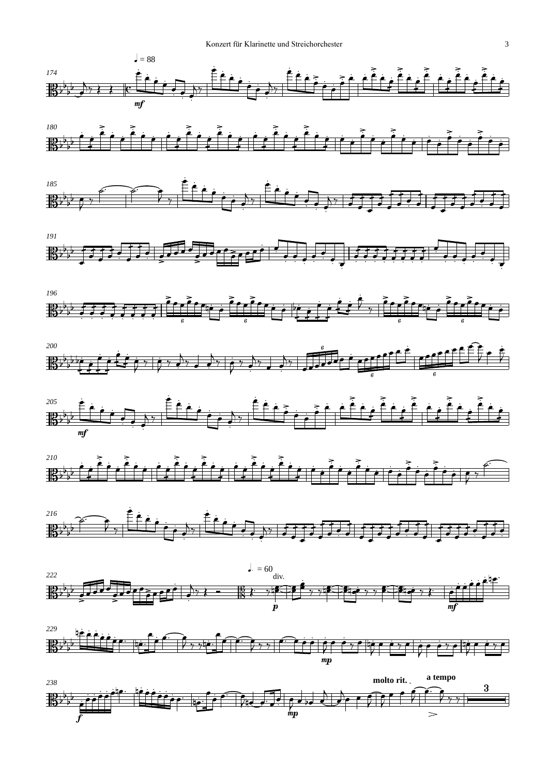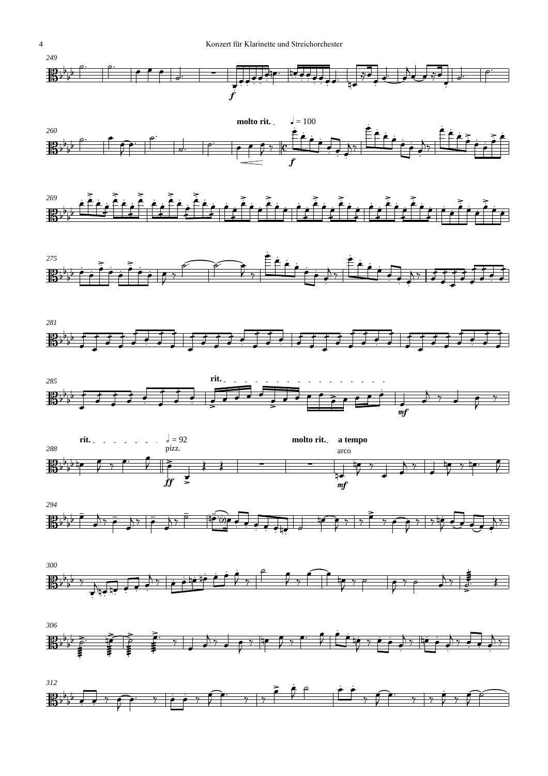